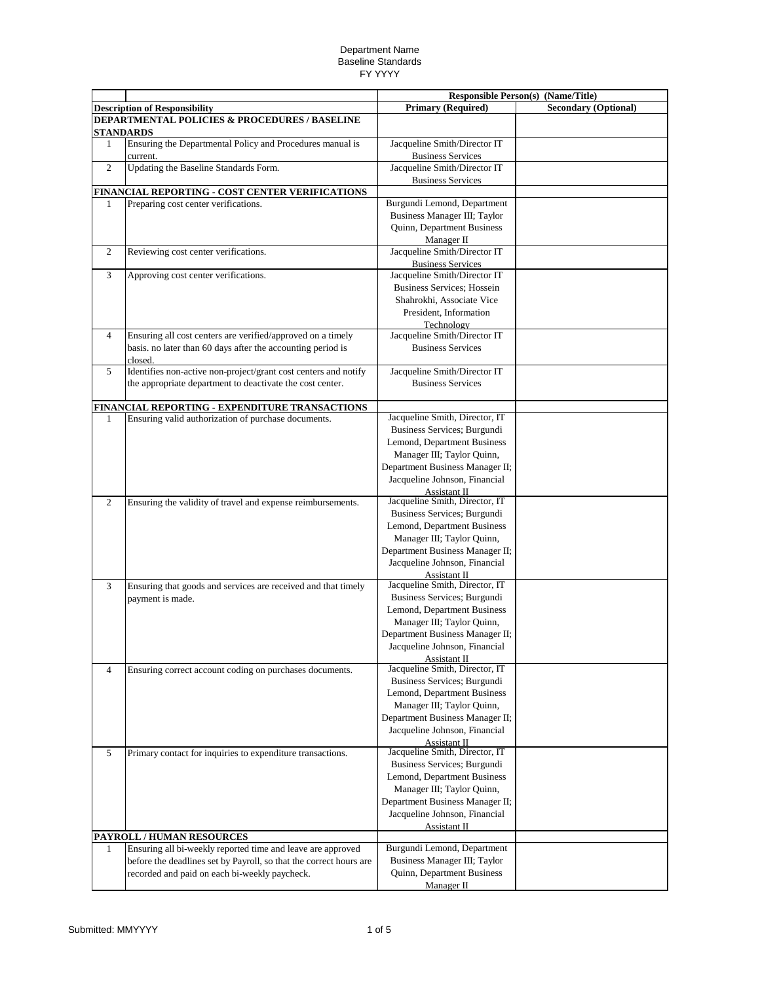|                |                                                                                                                            | <b>Responsible Person(s) (Name/Title)</b>                     |                             |
|----------------|----------------------------------------------------------------------------------------------------------------------------|---------------------------------------------------------------|-----------------------------|
|                | <b>Description of Responsibility</b>                                                                                       | <b>Primary (Required)</b>                                     | <b>Secondary (Optional)</b> |
|                | DEPARTMENTAL POLICIES & PROCEDURES / BASELINE                                                                              |                                                               |                             |
|                | <b>STANDARDS</b>                                                                                                           |                                                               |                             |
| 1              | Ensuring the Departmental Policy and Procedures manual is<br>current.                                                      | Jacqueline Smith/Director IT<br><b>Business Services</b>      |                             |
| 2              | Updating the Baseline Standards Form.                                                                                      | Jacqueline Smith/Director IT                                  |                             |
|                |                                                                                                                            | <b>Business Services</b>                                      |                             |
|                | FINANCIAL REPORTING - COST CENTER VERIFICATIONS                                                                            |                                                               |                             |
| 1              | Preparing cost center verifications.                                                                                       | Burgundi Lemond, Department                                   |                             |
|                |                                                                                                                            | Business Manager III; Taylor                                  |                             |
|                |                                                                                                                            | <b>Ouinn, Department Business</b>                             |                             |
| 2              | Reviewing cost center verifications.                                                                                       | Manager II<br>Jacqueline Smith/Director IT                    |                             |
|                |                                                                                                                            | <b>Business Services</b>                                      |                             |
| 3              | Approving cost center verifications.                                                                                       | Jacqueline Smith/Director IT                                  |                             |
|                |                                                                                                                            | <b>Business Services</b> ; Hossein                            |                             |
|                |                                                                                                                            | Shahrokhi, Associate Vice                                     |                             |
|                |                                                                                                                            | President, Information                                        |                             |
| $\overline{4}$ |                                                                                                                            | Technology<br>Jacqueline Smith/Director IT                    |                             |
|                | Ensuring all cost centers are verified/approved on a timely<br>basis. no later than 60 days after the accounting period is | <b>Business Services</b>                                      |                             |
|                | closed.                                                                                                                    |                                                               |                             |
| 5              | Identifies non-active non-project/grant cost centers and notify                                                            | Jacqueline Smith/Director IT                                  |                             |
|                | the appropriate department to deactivate the cost center.                                                                  | <b>Business Services</b>                                      |                             |
|                |                                                                                                                            |                                                               |                             |
|                | FINANCIAL REPORTING - EXPENDITURE TRANSACTIONS                                                                             | Jacqueline Smith, Director, IT                                |                             |
| $\mathbf{1}$   | Ensuring valid authorization of purchase documents.                                                                        | Business Services; Burgundi                                   |                             |
|                |                                                                                                                            | Lemond, Department Business                                   |                             |
|                |                                                                                                                            | Manager III; Taylor Quinn,                                    |                             |
|                |                                                                                                                            | Department Business Manager II;                               |                             |
|                |                                                                                                                            | Jacqueline Johnson, Financial                                 |                             |
|                |                                                                                                                            | Assistant II                                                  |                             |
| 2              | Ensuring the validity of travel and expense reimbursements.                                                                | Jacqueline Smith, Director, IT<br>Business Services; Burgundi |                             |
|                |                                                                                                                            | Lemond, Department Business                                   |                             |
|                |                                                                                                                            | Manager III; Taylor Quinn,                                    |                             |
|                |                                                                                                                            | Department Business Manager II;                               |                             |
|                |                                                                                                                            | Jacqueline Johnson, Financial                                 |                             |
|                |                                                                                                                            | Assistant II                                                  |                             |
| 3              | Ensuring that goods and services are received and that timely                                                              | Jacqueline Smith, Director, IT                                |                             |
|                | payment is made.                                                                                                           | Business Services; Burgundi<br>Lemond, Department Business    |                             |
|                |                                                                                                                            | Manager III; Taylor Quinn,                                    |                             |
|                |                                                                                                                            | Department Business Manager II;                               |                             |
|                |                                                                                                                            | Jacqueline Johnson, Financial                                 |                             |
|                |                                                                                                                            | Assistant II                                                  |                             |
| $\overline{4}$ | Ensuring correct account coding on purchases documents.                                                                    | Jacqueline Smith, Director, IT                                |                             |
|                |                                                                                                                            | Business Services; Burgundi<br>Lemond, Department Business    |                             |
|                |                                                                                                                            | Manager III; Taylor Quinn,                                    |                             |
|                |                                                                                                                            | Department Business Manager II;                               |                             |
|                |                                                                                                                            | Jacqueline Johnson, Financial                                 |                             |
|                |                                                                                                                            | Assistant II                                                  |                             |
| 5              | Primary contact for inquiries to expenditure transactions.                                                                 | Jacqueline Smith, Director, IT                                |                             |
|                |                                                                                                                            | Business Services; Burgundi<br>Lemond, Department Business    |                             |
|                |                                                                                                                            | Manager III; Taylor Quinn,                                    |                             |
|                |                                                                                                                            | Department Business Manager II;                               |                             |
|                |                                                                                                                            | Jacqueline Johnson, Financial                                 |                             |
|                |                                                                                                                            | Assistant II                                                  |                             |
|                | PAYROLL / HUMAN RESOURCES                                                                                                  |                                                               |                             |
| $\mathbf{1}$   | Ensuring all bi-weekly reported time and leave are approved                                                                | Burgundi Lemond, Department                                   |                             |
|                | before the deadlines set by Payroll, so that the correct hours are<br>recorded and paid on each bi-weekly paycheck.        | Business Manager III; Taylor<br>Quinn, Department Business    |                             |
|                |                                                                                                                            | Manager II                                                    |                             |
|                |                                                                                                                            |                                                               |                             |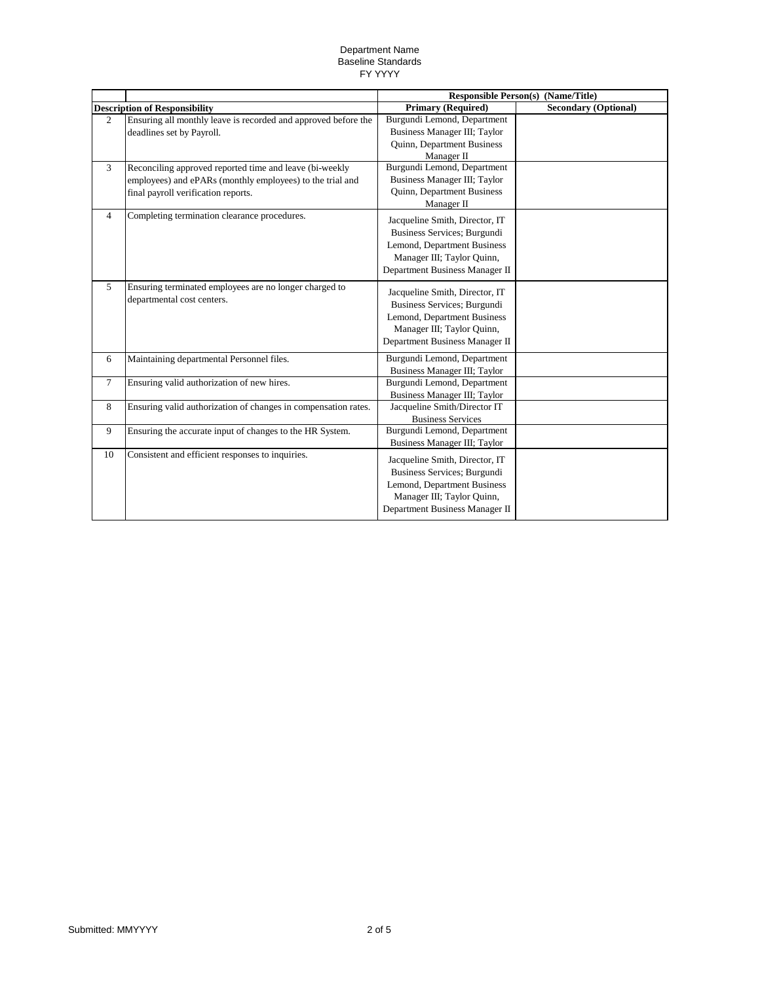|                                      |                                                                | <b>Responsible Person(s)</b>   | (Name/Title)                |
|--------------------------------------|----------------------------------------------------------------|--------------------------------|-----------------------------|
| <b>Description of Responsibility</b> |                                                                | <b>Primary (Required)</b>      | <b>Secondary (Optional)</b> |
| $\mathfrak{D}$                       | Ensuring all monthly leave is recorded and approved before the | Burgundi Lemond, Department    |                             |
|                                      | deadlines set by Payroll.                                      | Business Manager III; Taylor   |                             |
|                                      |                                                                | Quinn, Department Business     |                             |
|                                      |                                                                | Manager II                     |                             |
| 3                                    | Reconciling approved reported time and leave (bi-weekly        | Burgundi Lemond, Department    |                             |
|                                      | employees) and ePARs (monthly employees) to the trial and      | Business Manager III; Taylor   |                             |
|                                      | final payroll verification reports.                            | Quinn, Department Business     |                             |
|                                      |                                                                | Manager II                     |                             |
| $\overline{4}$                       | Completing termination clearance procedures.                   | Jacqueline Smith, Director, IT |                             |
|                                      |                                                                | Business Services; Burgundi    |                             |
|                                      |                                                                | Lemond, Department Business    |                             |
|                                      |                                                                | Manager III; Taylor Quinn,     |                             |
|                                      |                                                                | Department Business Manager II |                             |
|                                      |                                                                |                                |                             |
| $\overline{5}$                       | Ensuring terminated employees are no longer charged to         | Jacqueline Smith, Director, IT |                             |
|                                      | departmental cost centers.                                     | Business Services; Burgundi    |                             |
|                                      |                                                                | Lemond, Department Business    |                             |
|                                      |                                                                | Manager III; Taylor Quinn,     |                             |
|                                      |                                                                | Department Business Manager II |                             |
|                                      |                                                                |                                |                             |
| 6                                    | Maintaining departmental Personnel files.                      | Burgundi Lemond, Department    |                             |
|                                      |                                                                | Business Manager III; Taylor   |                             |
| $\overline{7}$                       | Ensuring valid authorization of new hires.                     | Burgundi Lemond, Department    |                             |
|                                      |                                                                | Business Manager III; Taylor   |                             |
| 8                                    | Ensuring valid authorization of changes in compensation rates. | Jacqueline Smith/Director IT   |                             |
|                                      |                                                                | <b>Business Services</b>       |                             |
| 9                                    | Ensuring the accurate input of changes to the HR System.       | Burgundi Lemond, Department    |                             |
|                                      |                                                                | Business Manager III: Taylor   |                             |
| 10                                   | Consistent and efficient responses to inquiries.               | Jacqueline Smith, Director, IT |                             |
|                                      |                                                                | Business Services; Burgundi    |                             |
|                                      |                                                                | Lemond, Department Business    |                             |
|                                      |                                                                | Manager III; Taylor Quinn,     |                             |
|                                      |                                                                | Department Business Manager II |                             |
|                                      |                                                                |                                |                             |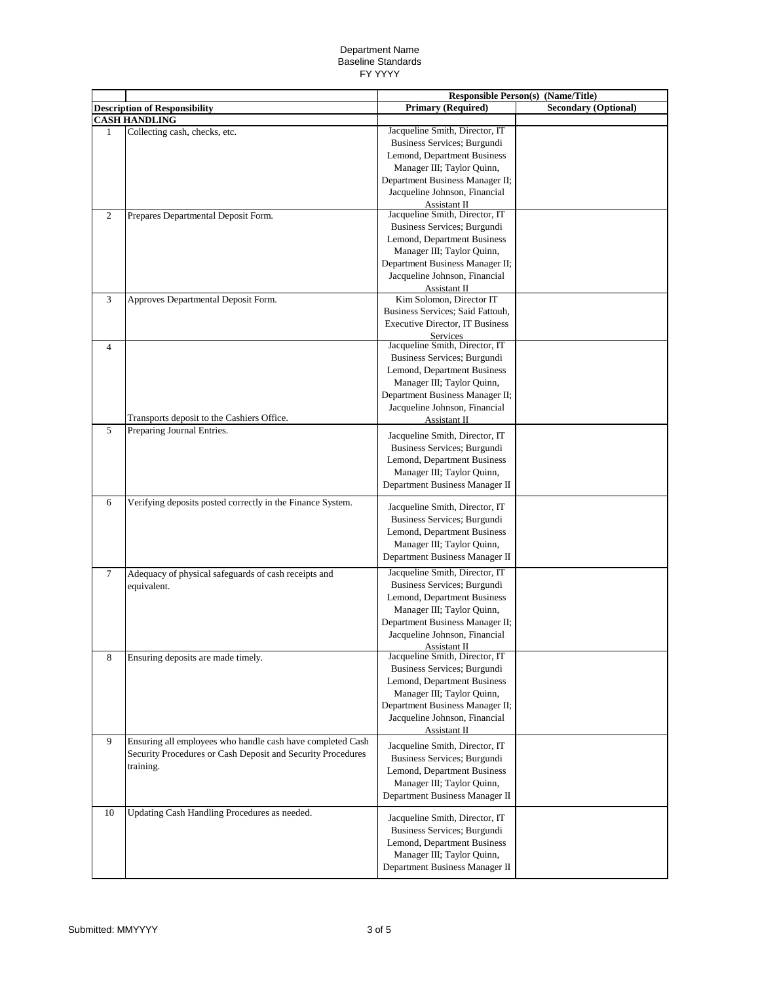|                |                                                             | <b>Responsible Person(s) (Name/Title)</b>                     |                             |
|----------------|-------------------------------------------------------------|---------------------------------------------------------------|-----------------------------|
|                | <b>Description of Responsibility</b>                        | <b>Primary (Required)</b>                                     | <b>Secondary (Optional)</b> |
|                | <b>CASH HANDLING</b>                                        |                                                               |                             |
| 1              | Collecting cash, checks, etc.                               | Jacqueline Smith, Director, IT                                |                             |
|                |                                                             | Business Services; Burgundi                                   |                             |
|                |                                                             | Lemond, Department Business                                   |                             |
|                |                                                             | Manager III; Taylor Quinn,                                    |                             |
|                |                                                             | Department Business Manager II;                               |                             |
|                |                                                             | Jacqueline Johnson, Financial                                 |                             |
|                |                                                             | Assistant II                                                  |                             |
| $\overline{2}$ | Prepares Departmental Deposit Form.                         | Jacqueline Smith, Director, IT                                |                             |
|                |                                                             | Business Services; Burgundi                                   |                             |
|                |                                                             | Lemond, Department Business                                   |                             |
|                |                                                             | Manager III; Taylor Quinn,                                    |                             |
|                |                                                             | Department Business Manager II;                               |                             |
|                |                                                             | Jacqueline Johnson, Financial                                 |                             |
| 3              | Approves Departmental Deposit Form.                         | Assistant II<br>Kim Solomon, Director IT                      |                             |
|                |                                                             | Business Services; Said Fattouh,                              |                             |
|                |                                                             | <b>Executive Director, IT Business</b>                        |                             |
|                |                                                             | <b>Services</b>                                               |                             |
| $\overline{4}$ |                                                             | Jacqueline Smith, Director, IT                                |                             |
|                |                                                             | Business Services; Burgundi                                   |                             |
|                |                                                             | Lemond, Department Business                                   |                             |
|                |                                                             | Manager III; Taylor Quinn,                                    |                             |
|                |                                                             | Department Business Manager II;                               |                             |
|                |                                                             | Jacqueline Johnson, Financial                                 |                             |
|                | Transports deposit to the Cashiers Office.                  | Assistant II                                                  |                             |
| 5              | Preparing Journal Entries.                                  | Jacqueline Smith, Director, IT                                |                             |
|                |                                                             | Business Services; Burgundi                                   |                             |
|                |                                                             | Lemond, Department Business                                   |                             |
|                |                                                             | Manager III; Taylor Quinn,                                    |                             |
|                |                                                             | Department Business Manager II                                |                             |
|                |                                                             |                                                               |                             |
| 6              | Verifying deposits posted correctly in the Finance System.  | Jacqueline Smith, Director, IT                                |                             |
|                |                                                             | Business Services; Burgundi                                   |                             |
|                |                                                             | Lemond, Department Business                                   |                             |
|                |                                                             | Manager III; Taylor Quinn,                                    |                             |
|                |                                                             | Department Business Manager II                                |                             |
| 7              | Adequacy of physical safeguards of cash receipts and        | Jacqueline Smith, Director, IT                                |                             |
|                | equivalent.                                                 | Business Services; Burgundi                                   |                             |
|                |                                                             | Lemond, Department Business                                   |                             |
|                |                                                             | Manager III; Taylor Quinn,                                    |                             |
|                |                                                             | Department Business Manager II;                               |                             |
|                |                                                             | Jacqueline Johnson, Financial                                 |                             |
|                |                                                             | Assistant II                                                  |                             |
| 8              | Ensuring deposits are made timely.                          | Jacqueline Smith, Director, IT                                |                             |
|                |                                                             | Business Services; Burgundi                                   |                             |
|                |                                                             | Lemond, Department Business                                   |                             |
|                |                                                             | Manager III; Taylor Quinn,                                    |                             |
|                |                                                             | Department Business Manager II;                               |                             |
|                |                                                             | Jacqueline Johnson, Financial                                 |                             |
| 9              | Ensuring all employees who handle cash have completed Cash  | Assistant II                                                  |                             |
|                | Security Procedures or Cash Deposit and Security Procedures | Jacqueline Smith, Director, IT                                |                             |
|                | training.                                                   | Business Services; Burgundi                                   |                             |
|                |                                                             | Lemond, Department Business                                   |                             |
|                |                                                             | Manager III; Taylor Quinn,                                    |                             |
|                |                                                             | Department Business Manager II                                |                             |
| 10             | Updating Cash Handling Procedures as needed.                |                                                               |                             |
|                |                                                             | Jacqueline Smith, Director, IT<br>Business Services; Burgundi |                             |
|                |                                                             | Lemond, Department Business                                   |                             |
|                |                                                             | Manager III; Taylor Quinn,                                    |                             |
|                |                                                             | Department Business Manager II                                |                             |
|                |                                                             |                                                               |                             |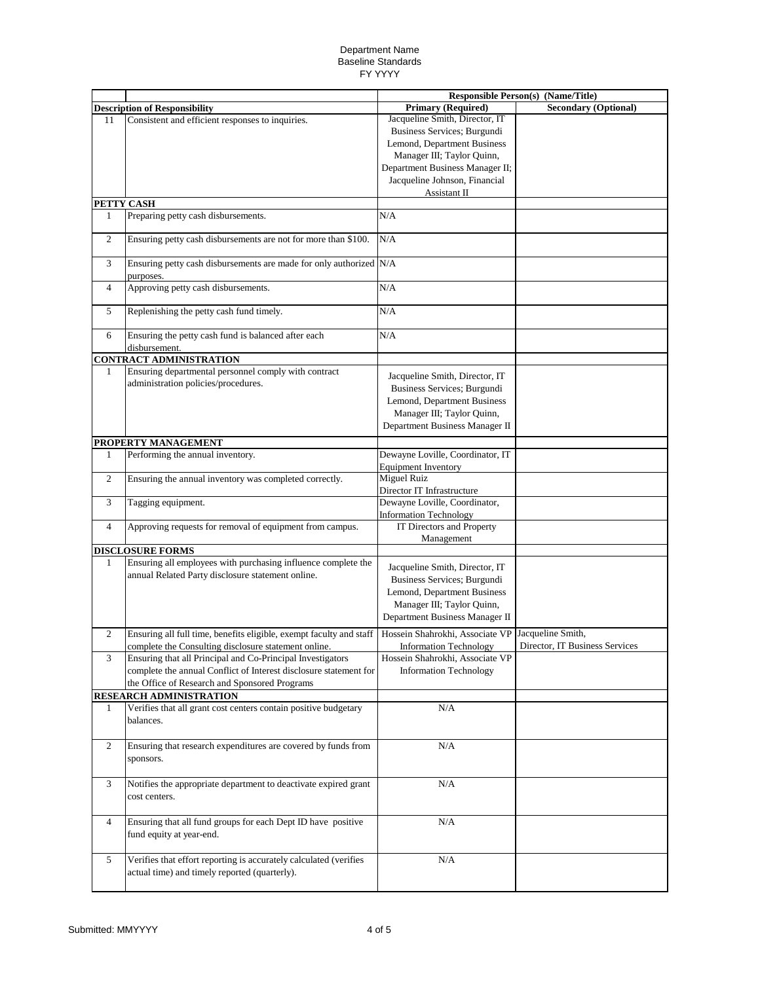|                |                                                                                 | <b>Responsible Person(s) (Name/Title)</b>         |                                |
|----------------|---------------------------------------------------------------------------------|---------------------------------------------------|--------------------------------|
|                | <b>Description of Responsibility</b>                                            | <b>Primary (Required)</b>                         | <b>Secondary (Optional)</b>    |
| 11             | Consistent and efficient responses to inquiries.                                | Jacqueline Smith, Director, IT                    |                                |
|                |                                                                                 | Business Services; Burgundi                       |                                |
|                |                                                                                 | Lemond, Department Business                       |                                |
|                |                                                                                 | Manager III; Taylor Quinn,                        |                                |
|                |                                                                                 | Department Business Manager II;                   |                                |
|                |                                                                                 | Jacqueline Johnson, Financial                     |                                |
|                |                                                                                 | Assistant II                                      |                                |
|                | PETTY CASH                                                                      |                                                   |                                |
| 1              | Preparing petty cash disbursements.                                             | N/A                                               |                                |
|                |                                                                                 |                                                   |                                |
| $\overline{2}$ | Ensuring petty cash disbursements are not for more than \$100.                  | N/A                                               |                                |
| 3              | Ensuring petty cash disbursements are made for only authorized N/A<br>purposes. |                                                   |                                |
| $\overline{4}$ | Approving petty cash disbursements.                                             | N/A                                               |                                |
| 5              | Replenishing the petty cash fund timely.                                        | N/A                                               |                                |
| 6              | Ensuring the petty cash fund is balanced after each                             | N/A                                               |                                |
|                | disbursement.                                                                   |                                                   |                                |
|                | <b>CONTRACT ADMINISTRATION</b>                                                  |                                                   |                                |
| 1              | Ensuring departmental personnel comply with contract                            | Jacqueline Smith, Director, IT                    |                                |
|                | administration policies/procedures.                                             | Business Services; Burgundi                       |                                |
|                |                                                                                 | Lemond, Department Business                       |                                |
|                |                                                                                 | Manager III; Taylor Quinn,                        |                                |
|                |                                                                                 | Department Business Manager II                    |                                |
|                | PROPERTY MANAGEMENT                                                             |                                                   |                                |
| 1              | Performing the annual inventory.                                                | Dewayne Loville, Coordinator, IT                  |                                |
|                |                                                                                 | <b>Equipment Inventory</b>                        |                                |
| $\overline{2}$ | Ensuring the annual inventory was completed correctly.                          | <b>Miguel Ruiz</b>                                |                                |
|                |                                                                                 | Director IT Infrastructure                        |                                |
| 3              | Tagging equipment.                                                              | Dewayne Loville, Coordinator,                     |                                |
|                |                                                                                 | <b>Information Technology</b>                     |                                |
| $\overline{4}$ | Approving requests for removal of equipment from campus.                        | IT Directors and Property                         |                                |
|                |                                                                                 | Management                                        |                                |
|                | <b>DISCLOSURE FORMS</b>                                                         |                                                   |                                |
| 1              | Ensuring all employees with purchasing influence complete the                   |                                                   |                                |
|                | annual Related Party disclosure statement online.                               | Jacqueline Smith, Director, IT                    |                                |
|                |                                                                                 | Business Services; Burgundi                       |                                |
|                |                                                                                 | Lemond, Department Business                       |                                |
|                |                                                                                 | Manager III; Taylor Quinn,                        |                                |
|                |                                                                                 | Department Business Manager II                    |                                |
| $\overline{2}$ | Ensuring all full time, benefits eligible, exempt faculty and staff             | Hossein Shahrokhi, Associate VP Jacqueline Smith, |                                |
|                | complete the Consulting disclosure statement online.                            | <b>Information Technology</b>                     | Director, IT Business Services |
| 3              | Ensuring that all Principal and Co-Principal Investigators                      | Hossein Shahrokhi, Associate VP                   |                                |
|                | complete the annual Conflict of Interest disclosure statement for               | <b>Information Technology</b>                     |                                |
|                | the Office of Research and Sponsored Programs                                   |                                                   |                                |
|                | RESEARCH ADMINISTRATION                                                         |                                                   |                                |
| 1              | Verifies that all grant cost centers contain positive budgetary                 | N/A                                               |                                |
|                | balances.                                                                       |                                                   |                                |
| $\overline{c}$ | Ensuring that research expenditures are covered by funds from                   | $\rm N/A$                                         |                                |
|                | sponsors.                                                                       |                                                   |                                |
|                |                                                                                 |                                                   |                                |
| 3              | Notifies the appropriate department to deactivate expired grant                 | N/A                                               |                                |
|                | cost centers.                                                                   |                                                   |                                |
|                |                                                                                 |                                                   |                                |
|                |                                                                                 |                                                   |                                |
| $\overline{4}$ | Ensuring that all fund groups for each Dept ID have positive                    | $\rm N/A$                                         |                                |
|                | fund equity at year-end.                                                        |                                                   |                                |
|                |                                                                                 |                                                   |                                |
| 5              | Verifies that effort reporting is accurately calculated (verifies               | N/A                                               |                                |
|                | actual time) and timely reported (quarterly).                                   |                                                   |                                |
|                |                                                                                 |                                                   |                                |